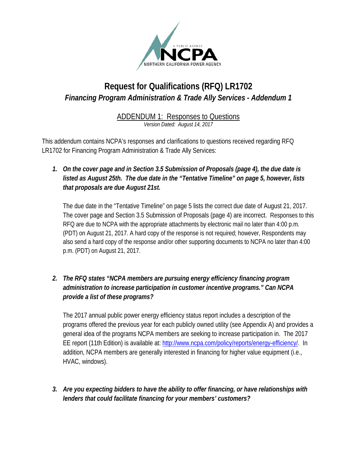

## **Request for Qualifications (RFQ) LR1702** *Financing Program Administration & Trade Ally Services - Addendum 1*

# ADDENDUM 1: Responses to Questions

*Version Dated: August 14, 2017*

This addendum contains NCPA's responses and clarifications to questions received regarding RFQ LR1702 for Financing Program Administration & Trade Ally Services:

*1. On the cover page and in Section 3.5 Submission of Proposals (page 4), the due date is listed as August 25th. The due date in the "Tentative Timeline" on page 5, however, lists that proposals are due August 21st.*

The due date in the "Tentative Timeline" on page 5 lists the correct due date of August 21, 2017. The cover page and Section 3.5 Submission of Proposals (page 4) are incorrect. Responses to this RFQ are due to NCPA with the appropriate attachments by electronic mail no later than 4:00 p.m. (PDT) on August 21, 2017. A hard copy of the response is not required; however, Respondents may also send a hard copy of the response and/or other supporting documents to NCPA no later than 4:00 p.m. (PDT) on August 21, 2017.

*2. The RFQ states "NCPA members are pursuing energy efficiency financing program administration to increase participation in customer incentive programs." Can NCPA provide a list of these programs?*

The 2017 annual public power energy efficiency status report includes a description of the programs offered the previous year for each publicly owned utility (see Appendix A) and provides a general idea of the programs NCPA members are seeking to increase participation in. The 2017 EE report (11th Edition) is available at: [http://www.ncpa.com/policy/reports/energy-efficiency/.](http://www.ncpa.com/policy/reports/energy-efficiency/) In addition, NCPA members are generally interested in financing for higher value equipment (i.e., HVAC, windows).

*3. Are you expecting bidders to have the ability to offer financing, or have relationships with lenders that could facilitate financing for your members' customers?*